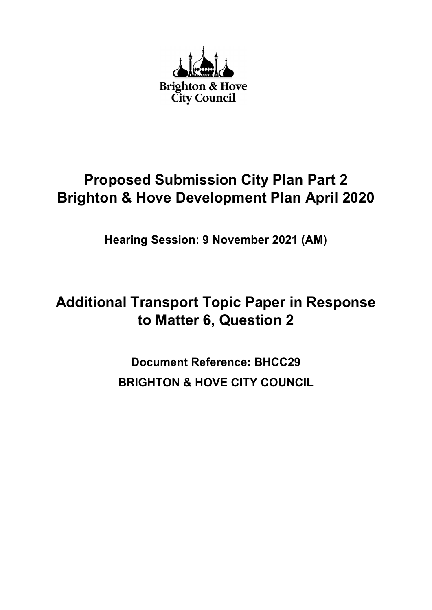

# Proposed Submission City Plan Part 2 Brighton & Hove Development Plan April 2020

Hearing Session: 9 November 2021 (AM)

# Additional Transport Topic Paper in Response to Matter 6, Question 2

Document Reference: BHCC29 BRIGHTON & HOVE CITY COUNCIL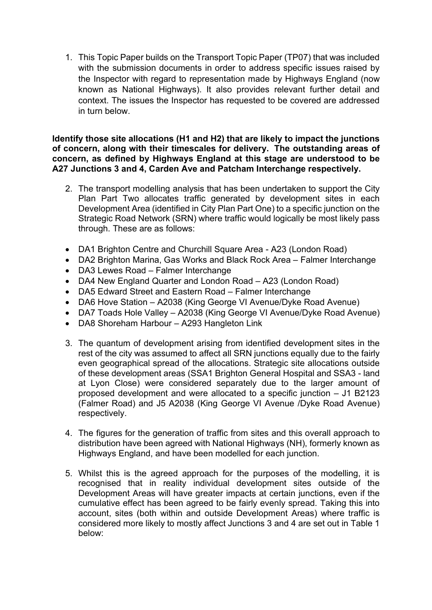1. This Topic Paper builds on the Transport Topic Paper (TP07) that was included with the submission documents in order to address specific issues raised by the Inspector with regard to representation made by Highways England (now known as National Highways). It also provides relevant further detail and context. The issues the Inspector has requested to be covered are addressed in turn below.

Identify those site allocations (H1 and H2) that are likely to impact the junctions of concern, along with their timescales for delivery. The outstanding areas of concern, as defined by Highways England at this stage are understood to be A27 Junctions 3 and 4, Carden Ave and Patcham Interchange respectively.

- 2. The transport modelling analysis that has been undertaken to support the City Plan Part Two allocates traffic generated by development sites in each Development Area (identified in City Plan Part One) to a specific junction on the Strategic Road Network (SRN) where traffic would logically be most likely pass through. These are as follows:
- DA1 Brighton Centre and Churchill Square Area A23 (London Road)
- DA2 Brighton Marina, Gas Works and Black Rock Area Falmer Interchange
- DA3 Lewes Road Falmer Interchange
- DA4 New England Quarter and London Road A23 (London Road)
- DA5 Edward Street and Eastern Road Falmer Interchange
- DA6 Hove Station A2038 (King George VI Avenue/Dyke Road Avenue)
- DA7 Toads Hole Valley A2038 (King George VI Avenue/Dyke Road Avenue)
- DA8 Shoreham Harbour A293 Hangleton Link
- 3. The quantum of development arising from identified development sites in the rest of the city was assumed to affect all SRN junctions equally due to the fairly even geographical spread of the allocations. Strategic site allocations outside of these development areas (SSA1 Brighton General Hospital and SSA3 - land at Lyon Close) were considered separately due to the larger amount of proposed development and were allocated to a specific junction – J1 B2123 (Falmer Road) and J5 A2038 (King George VI Avenue /Dyke Road Avenue) respectively.
- 4. The figures for the generation of traffic from sites and this overall approach to distribution have been agreed with National Highways (NH), formerly known as Highways England, and have been modelled for each junction.
- 5. Whilst this is the agreed approach for the purposes of the modelling, it is recognised that in reality individual development sites outside of the Development Areas will have greater impacts at certain junctions, even if the cumulative effect has been agreed to be fairly evenly spread. Taking this into account, sites (both within and outside Development Areas) where traffic is considered more likely to mostly affect Junctions 3 and 4 are set out in Table 1 below: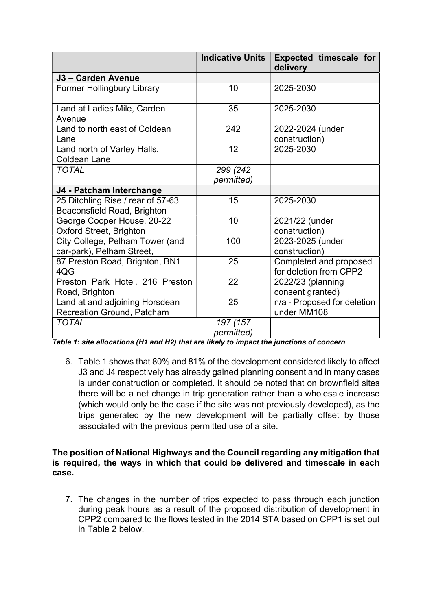|                                                                  | <b>Indicative Units</b> | <b>Expected timescale for</b><br>delivery        |
|------------------------------------------------------------------|-------------------------|--------------------------------------------------|
| J3 - Carden Avenue                                               |                         |                                                  |
| <b>Former Hollingbury Library</b>                                | 10                      | 2025-2030                                        |
| Land at Ladies Mile, Carden<br>Avenue                            | 35                      | 2025-2030                                        |
| Land to north east of Coldean<br>Lane                            | 242                     | 2022-2024 (under<br>construction)                |
| Land north of Varley Halls,<br><b>Coldean Lane</b>               | 12                      | 2025-2030                                        |
| <b>TOTAL</b>                                                     | 299 (242<br>permitted)  |                                                  |
| J4 - Patcham Interchange                                         |                         |                                                  |
| 25 Ditchling Rise / rear of 57-63<br>Beaconsfield Road, Brighton | 15                      | 2025-2030                                        |
| George Cooper House, 20-22<br><b>Oxford Street, Brighton</b>     | 10                      | 2021/22 (under<br>construction)                  |
| City College, Pelham Tower (and<br>car-park), Pelham Street,     | 100                     | 2023-2025 (under<br>construction)                |
| 87 Preston Road, Brighton, BN1<br>4QG                            | 25                      | Completed and proposed<br>for deletion from CPP2 |
| Preston Park Hotel, 216 Preston<br>Road, Brighton                | 22                      | 2022/23 (planning<br>consent granted)            |
| Land at and adjoining Horsdean<br>Recreation Ground, Patcham     | 25                      | n/a - Proposed for deletion<br>under MM108       |
| <b>TOTAL</b>                                                     | 197 (157<br>permitted)  |                                                  |

Table 1: site allocations (H1 and H2) that are likely to impact the junctions of concern

6. Table 1 shows that 80% and 81% of the development considered likely to affect J3 and J4 respectively has already gained planning consent and in many cases is under construction or completed. It should be noted that on brownfield sites there will be a net change in trip generation rather than a wholesale increase (which would only be the case if the site was not previously developed), as the trips generated by the new development will be partially offset by those associated with the previous permitted use of a site.

#### The position of National Highways and the Council regarding any mitigation that is required, the ways in which that could be delivered and timescale in each case.

7. The changes in the number of trips expected to pass through each junction during peak hours as a result of the proposed distribution of development in CPP2 compared to the flows tested in the 2014 STA based on CPP1 is set out in Table 2 below.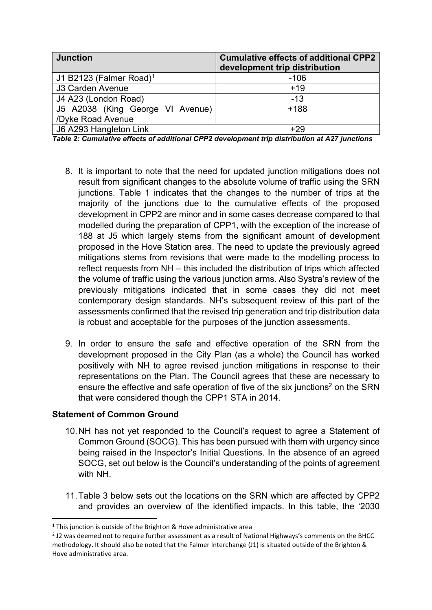| <b>Junction</b>                     | <b>Cumulative effects of additional CPP2</b><br>development trip distribution |
|-------------------------------------|-------------------------------------------------------------------------------|
| J1 B2123 (Falmer Road) <sup>1</sup> | $-106$                                                                        |
| J3 Carden Avenue                    | $+19$                                                                         |
| J4 A23 (London Road)                | $-13$                                                                         |
| J5 A2038 (King George VI Avenue)    | $+188$                                                                        |
| /Dyke Road Avenue                   |                                                                               |
| J6 A293 Hangleton Link              | $+29$                                                                         |

Table 2: Cumulative effects of additional CPP2 development trip distribution at A27 junctions

- 8. It is important to note that the need for updated junction mitigations does not result from significant changes to the absolute volume of traffic using the SRN junctions. Table 1 indicates that the changes to the number of trips at the majority of the junctions due to the cumulative effects of the proposed development in CPP2 are minor and in some cases decrease compared to that modelled during the preparation of CPP1, with the exception of the increase of 188 at J5 which largely stems from the significant amount of development proposed in the Hove Station area. The need to update the previously agreed mitigations stems from revisions that were made to the modelling process to reflect requests from NH – this included the distribution of trips which affected the volume of traffic using the various junction arms. Also Systra's review of the previously mitigations indicated that in some cases they did not meet contemporary design standards. NH's subsequent review of this part of the assessments confirmed that the revised trip generation and trip distribution data is robust and acceptable for the purposes of the junction assessments.
- 9. In order to ensure the safe and effective operation of the SRN from the development proposed in the City Plan (as a whole) the Council has worked positively with NH to agree revised junction mitigations in response to their representations on the Plan. The Council agrees that these are necessary to ensure the effective and safe operation of five of the six junctions<sup>2</sup> on the SRN that were considered though the CPP1 STA in 2014.

#### Statement of Common Ground

- 10. NH has not yet responded to the Council's request to agree a Statement of Common Ground (SOCG). This has been pursued with them with urgency since being raised in the Inspector's Initial Questions. In the absence of an agreed SOCG, set out below is the Council's understanding of the points of agreement with NH.
- 11. Table 3 below sets out the locations on the SRN which are affected by CPP2 and provides an overview of the identified impacts. In this table, the '2030

 $1$  This junction is outside of the Brighton & Hove administrative area

 $2$  J2 was deemed not to require further assessment as a result of National Highways's comments on the BHCC methodology. It should also be noted that the Falmer Interchange (J1) is situated outside of the Brighton & Hove administrative area.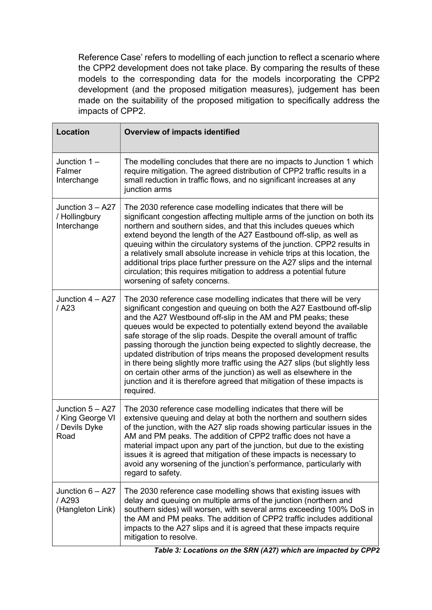Reference Case' refers to modelling of each junction to reflect a scenario where the CPP2 development does not take place. By comparing the results of these models to the corresponding data for the models incorporating the CPP2 development (and the proposed mitigation measures), judgement has been made on the suitability of the proposed mitigation to specifically address the impacts of CPP2.

| <b>Location</b>                                                 | <b>Overview of impacts identified</b>                                                                                                                                                                                                                                                                                                                                                                                                                                                                                                                                                                                                                                                                                                                       |
|-----------------------------------------------------------------|-------------------------------------------------------------------------------------------------------------------------------------------------------------------------------------------------------------------------------------------------------------------------------------------------------------------------------------------------------------------------------------------------------------------------------------------------------------------------------------------------------------------------------------------------------------------------------------------------------------------------------------------------------------------------------------------------------------------------------------------------------------|
| Junction $1 -$<br>Falmer<br>Interchange                         | The modelling concludes that there are no impacts to Junction 1 which<br>require mitigation. The agreed distribution of CPP2 traffic results in a<br>small reduction in traffic flows, and no significant increases at any<br>junction arms                                                                                                                                                                                                                                                                                                                                                                                                                                                                                                                 |
| Junction $3 - A27$<br>/ Hollingbury<br>Interchange              | The 2030 reference case modelling indicates that there will be<br>significant congestion affecting multiple arms of the junction on both its<br>northern and southern sides, and that this includes queues which<br>extend beyond the length of the A27 Eastbound off-slip, as well as<br>queuing within the circulatory systems of the junction. CPP2 results in<br>a relatively small absolute increase in vehicle trips at this location, the<br>additional trips place further pressure on the A27 slips and the internal<br>circulation; this requires mitigation to address a potential future<br>worsening of safety concerns.                                                                                                                       |
| Junction $4 - A27$<br>$/$ A23                                   | The 2030 reference case modelling indicates that there will be very<br>significant congestion and queuing on both the A27 Eastbound off-slip<br>and the A27 Westbound off-slip in the AM and PM peaks; these<br>queues would be expected to potentially extend beyond the available<br>safe storage of the slip roads. Despite the overall amount of traffic<br>passing thorough the junction being expected to slightly decrease, the<br>updated distribution of trips means the proposed development results<br>in there being slightly more traffic using the A27 slips (but slightly less<br>on certain other arms of the junction) as well as elsewhere in the<br>junction and it is therefore agreed that mitigation of these impacts is<br>required. |
| Junction $5 - A27$<br>/ King George VI<br>/ Devils Dyke<br>Road | The 2030 reference case modelling indicates that there will be<br>extensive queuing and delay at both the northern and southern sides<br>of the junction, with the A27 slip roads showing particular issues in the<br>AM and PM peaks. The addition of CPP2 traffic does not have a<br>material impact upon any part of the junction, but due to the existing<br>issues it is agreed that mitigation of these impacts is necessary to<br>avoid any worsening of the junction's performance, particularly with<br>regard to safety.                                                                                                                                                                                                                          |
| Junction $6 - A27$<br>/ A293<br>(Hangleton Link)                | The 2030 reference case modelling shows that existing issues with<br>delay and queuing on multiple arms of the junction (northern and<br>southern sides) will worsen, with several arms exceeding 100% DoS in<br>the AM and PM peaks. The addition of CPP2 traffic includes additional<br>impacts to the A27 slips and it is agreed that these impacts require<br>mitigation to resolve.                                                                                                                                                                                                                                                                                                                                                                    |

Table 3: Locations on the SRN (A27) which are impacted by CPP2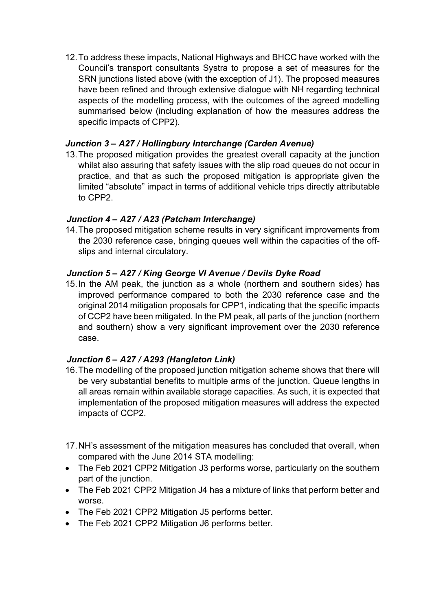12. To address these impacts, National Highways and BHCC have worked with the Council's transport consultants Systra to propose a set of measures for the SRN junctions listed above (with the exception of J1). The proposed measures have been refined and through extensive dialogue with NH regarding technical aspects of the modelling process, with the outcomes of the agreed modelling summarised below (including explanation of how the measures address the specific impacts of CPP2).

## Junction 3 – A27 / Hollingbury Interchange (Carden Avenue)

13. The proposed mitigation provides the greatest overall capacity at the junction whilst also assuring that safety issues with the slip road queues do not occur in practice, and that as such the proposed mitigation is appropriate given the limited "absolute" impact in terms of additional vehicle trips directly attributable to CPP2.

# Junction 4 – A27 / A23 (Patcham Interchange)

14. The proposed mitigation scheme results in very significant improvements from the 2030 reference case, bringing queues well within the capacities of the offslips and internal circulatory.

# Junction 5 – A27 / King George VI Avenue / Devils Dyke Road

15. In the AM peak, the junction as a whole (northern and southern sides) has improved performance compared to both the 2030 reference case and the original 2014 mitigation proposals for CPP1, indicating that the specific impacts of CCP2 have been mitigated. In the PM peak, all parts of the junction (northern and southern) show a very significant improvement over the 2030 reference case.

# Junction 6 – A27 / A293 (Hangleton Link)

- 16. The modelling of the proposed junction mitigation scheme shows that there will be very substantial benefits to multiple arms of the junction. Queue lengths in all areas remain within available storage capacities. As such, it is expected that implementation of the proposed mitigation measures will address the expected impacts of CCP2.
- 17. NH's assessment of the mitigation measures has concluded that overall, when compared with the June 2014 STA modelling:
- The Feb 2021 CPP2 Mitigation J3 performs worse, particularly on the southern part of the junction.
- The Feb 2021 CPP2 Mitigation J4 has a mixture of links that perform better and worse.
- The Feb 2021 CPP2 Mitigation J5 performs better.
- The Feb 2021 CPP2 Mitigation J6 performs better.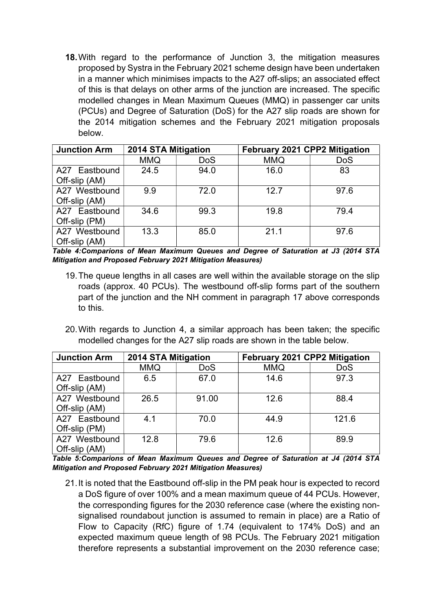18. With regard to the performance of Junction 3, the mitigation measures proposed by Systra in the February 2021 scheme design have been undertaken in a manner which minimises impacts to the A27 off-slips; an associated effect of this is that delays on other arms of the junction are increased. The specific modelled changes in Mean Maximum Queues (MMQ) in passenger car units (PCUs) and Degree of Saturation (DoS) for the A27 slip roads are shown for the 2014 mitigation schemes and the February 2021 mitigation proposals below.

| <b>Junction Arm</b> | 2014 STA Mitigation |            | February 2021 CPP2 Mitigation |            |  |
|---------------------|---------------------|------------|-------------------------------|------------|--|
|                     | <b>MMQ</b>          | <b>DoS</b> | <b>MMQ</b>                    | <b>DoS</b> |  |
| A27 Eastbound       | 24.5                | 94.0       | 16.0                          | 83         |  |
| Off-slip (AM)       |                     |            |                               |            |  |
| A27 Westbound       | 9.9                 | 72.0       | 12.7                          | 97.6       |  |
| Off-slip (AM)       |                     |            |                               |            |  |
| A27 Eastbound       | 34.6                | 99.3       | 19.8                          | 79.4       |  |
| Off-slip (PM)       |                     |            |                               |            |  |
| A27 Westbound       | 13.3                | 85.0       | 21.1                          | 97.6       |  |
| Off-slip (AM)       |                     |            |                               |            |  |

Table 4:Comparions of Mean Maximum Queues and Degree of Saturation at J3 (2014 STA Mitigation and Proposed February 2021 Mitigation Measures)

- 19. The queue lengths in all cases are well within the available storage on the slip roads (approx. 40 PCUs). The westbound off-slip forms part of the southern part of the junction and the NH comment in paragraph 17 above corresponds to this.
- 20. With regards to Junction 4, a similar approach has been taken; the specific modelled changes for the A27 slip roads are shown in the table below.

| <b>Junction Arm</b> | 2014 STA Mitigation |            | <b>February 2021 CPP2 Mitigation</b> |            |  |
|---------------------|---------------------|------------|--------------------------------------|------------|--|
|                     | <b>MMQ</b>          | <b>DoS</b> | <b>MMQ</b>                           | <b>DoS</b> |  |
| A27 Eastbound       | 6.5                 | 67.0       | 14.6                                 | 97.3       |  |
| Off-slip (AM)       |                     |            |                                      |            |  |
| A27 Westbound       | 26.5                | 91.00      | 12.6                                 | 88.4       |  |
| Off-slip (AM)       |                     |            |                                      |            |  |
| A27 Eastbound       | 4.1                 | 70.0       | 44.9                                 | 121.6      |  |
| Off-slip (PM)       |                     |            |                                      |            |  |
| A27 Westbound       | 12.8                | 79.6       | 12.6                                 | 89.9       |  |
| Off-slip (AM)       |                     |            |                                      |            |  |

Table 5:Comparions of Mean Maximum Queues and Degree of Saturation at J4 (2014 STA Mitigation and Proposed February 2021 Mitigation Measures)

21. It is noted that the Eastbound off-slip in the PM peak hour is expected to record a DoS figure of over 100% and a mean maximum queue of 44 PCUs. However, the corresponding figures for the 2030 reference case (where the existing nonsignalised roundabout junction is assumed to remain in place) are a Ratio of Flow to Capacity (RfC) figure of 1.74 (equivalent to 174% DoS) and an expected maximum queue length of 98 PCUs. The February 2021 mitigation therefore represents a substantial improvement on the 2030 reference case;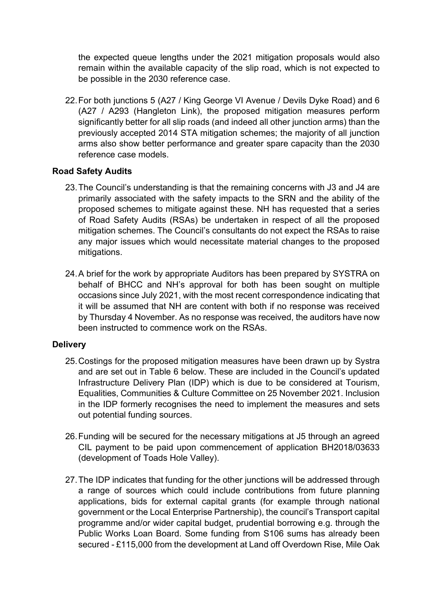the expected queue lengths under the 2021 mitigation proposals would also remain within the available capacity of the slip road, which is not expected to be possible in the 2030 reference case.

22. For both junctions 5 (A27 / King George VI Avenue / Devils Dyke Road) and 6 (A27 / A293 (Hangleton Link), the proposed mitigation measures perform significantly better for all slip roads (and indeed all other junction arms) than the previously accepted 2014 STA mitigation schemes; the majority of all junction arms also show better performance and greater spare capacity than the 2030 reference case models.

#### Road Safety Audits

- 23. The Council's understanding is that the remaining concerns with J3 and J4 are primarily associated with the safety impacts to the SRN and the ability of the proposed schemes to mitigate against these. NH has requested that a series of Road Safety Audits (RSAs) be undertaken in respect of all the proposed mitigation schemes. The Council's consultants do not expect the RSAs to raise any major issues which would necessitate material changes to the proposed mitigations.
- 24. A brief for the work by appropriate Auditors has been prepared by SYSTRA on behalf of BHCC and NH's approval for both has been sought on multiple occasions since July 2021, with the most recent correspondence indicating that it will be assumed that NH are content with both if no response was received by Thursday 4 November. As no response was received, the auditors have now been instructed to commence work on the RSAs.

## **Delivery**

- 25. Costings for the proposed mitigation measures have been drawn up by Systra and are set out in Table 6 below. These are included in the Council's updated Infrastructure Delivery Plan (IDP) which is due to be considered at Tourism, Equalities, Communities & Culture Committee on 25 November 2021. Inclusion in the IDP formerly recognises the need to implement the measures and sets out potential funding sources.
- 26. Funding will be secured for the necessary mitigations at J5 through an agreed CIL payment to be paid upon commencement of application BH2018/03633 (development of Toads Hole Valley).
- 27. The IDP indicates that funding for the other junctions will be addressed through a range of sources which could include contributions from future planning applications, bids for external capital grants (for example through national government or the Local Enterprise Partnership), the council's Transport capital programme and/or wider capital budget, prudential borrowing e.g. through the Public Works Loan Board. Some funding from S106 sums has already been secured - £115,000 from the development at Land off Overdown Rise, Mile Oak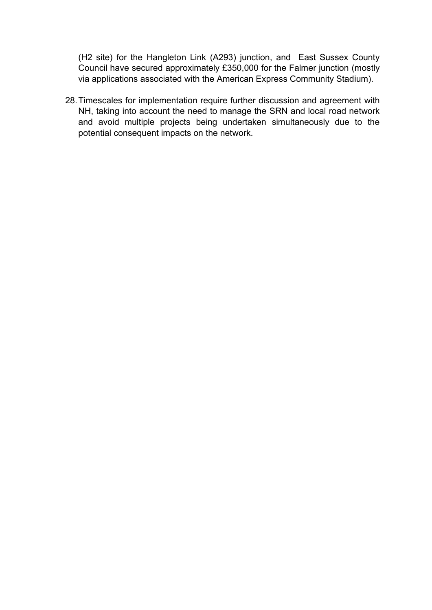(H2 site) for the Hangleton Link (A293) junction, and East Sussex County Council have secured approximately £350,000 for the Falmer junction (mostly via applications associated with the American Express Community Stadium).

28. Timescales for implementation require further discussion and agreement with NH, taking into account the need to manage the SRN and local road network and avoid multiple projects being undertaken simultaneously due to the potential consequent impacts on the network.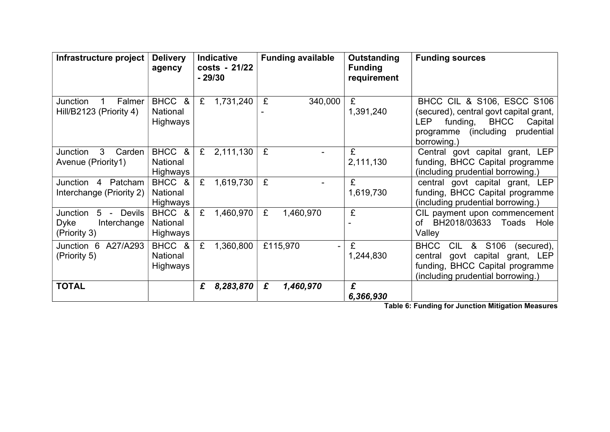| Infrastructure project                                                           | <b>Delivery</b><br>agency      |   | <b>Indicative</b><br>costs - 21/22<br>$-29/30$ |   | <b>Funding available</b>   | Outstanding<br><b>Funding</b><br>requirement | <b>Funding sources</b>                                                                                                                                                                       |
|----------------------------------------------------------------------------------|--------------------------------|---|------------------------------------------------|---|----------------------------|----------------------------------------------|----------------------------------------------------------------------------------------------------------------------------------------------------------------------------------------------|
| Junction<br>Falmer<br>Hill/B2123 (Priority 4)                                    | BHCC &<br>National<br>Highways | £ | 1,731,240                                      | £ | 340,000                    | £<br>1,391,240                               | <b>BHCC CIL &amp; S106, ESCC S106</b><br>(secured), central govt capital grant,<br><b>LEP</b><br>funding,<br><b>BHCC</b><br>Capital<br>(including)<br>prudential<br>programme<br>borrowing.) |
| Junction<br>3<br>Carden<br>Avenue (Priority1)                                    | BHCC &<br>National<br>Highways | £ | 2,111,130                                      | £ |                            | £<br>2,111,130                               | Central govt capital grant, LEP<br>funding, BHCC Capital programme<br>(including prudential borrowing.)                                                                                      |
| Junction 4<br>Patcham<br>Interchange (Priority 2)                                | BHCC &<br>National<br>Highways | £ | 1,619,730                                      | £ |                            | £<br>1,619,730                               | central govt capital grant, LEP<br>funding, BHCC Capital programme<br>(including prudential borrowing.)                                                                                      |
| Junction<br>$5 -$<br><b>Devils</b><br><b>Dyke</b><br>Interchange<br>(Priority 3) | BHCC &<br>National<br>Highways | £ | 1,460,970                                      | £ | 1,460,970                  | £                                            | CIL payment upon commencement<br>BH2018/03633 Toads<br>Hole<br>of<br>Valley                                                                                                                  |
| Junction 6<br>A27/A293<br>(Priority 5)                                           | BHCC &<br>National<br>Highways | £ | 1,360,800                                      |   | £115,970<br>$\overline{a}$ | £<br>1,244,830                               | <b>BHCC</b><br><b>CIL</b><br>&<br>S <sub>106</sub><br>(secured),<br>govt capital grant, LEP<br>central<br>funding, BHCC Capital programme<br>(including prudential borrowing.)               |
| <b>TOTAL</b>                                                                     |                                | £ | 8,283,870                                      | £ | 1,460,970                  | £<br>6,366,930                               |                                                                                                                                                                                              |

Table 6: Funding for Junction Mitigation Measures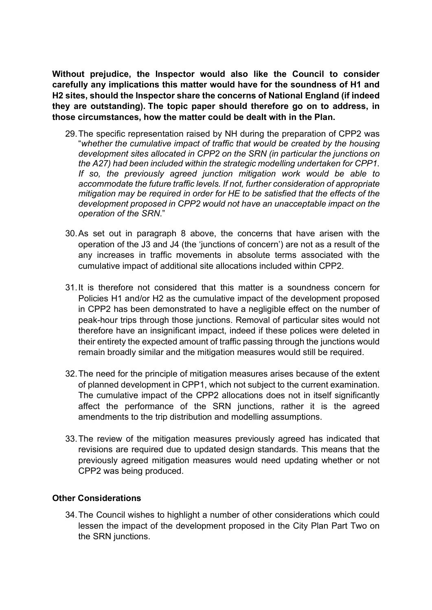Without prejudice, the Inspector would also like the Council to consider carefully any implications this matter would have for the soundness of H1 and H2 sites, should the Inspector share the concerns of National England (if indeed they are outstanding). The topic paper should therefore go on to address, in those circumstances, how the matter could be dealt with in the Plan.

- 29. The specific representation raised by NH during the preparation of CPP2 was "whether the cumulative impact of traffic that would be created by the housing development sites allocated in CPP2 on the SRN (in particular the junctions on the A27) had been included within the strategic modelling undertaken for CPP1. If so, the previously agreed junction mitigation work would be able to accommodate the future traffic levels. If not, further consideration of appropriate mitigation may be required in order for HE to be satisfied that the effects of the development proposed in CPP2 would not have an unacceptable impact on the operation of the SRN."
- 30. As set out in paragraph 8 above, the concerns that have arisen with the operation of the J3 and J4 (the 'junctions of concern') are not as a result of the any increases in traffic movements in absolute terms associated with the cumulative impact of additional site allocations included within CPP2.
- 31. It is therefore not considered that this matter is a soundness concern for Policies H1 and/or H2 as the cumulative impact of the development proposed in CPP2 has been demonstrated to have a negligible effect on the number of peak-hour trips through those junctions. Removal of particular sites would not therefore have an insignificant impact, indeed if these polices were deleted in their entirety the expected amount of traffic passing through the junctions would remain broadly similar and the mitigation measures would still be required.
- 32. The need for the principle of mitigation measures arises because of the extent of planned development in CPP1, which not subject to the current examination. The cumulative impact of the CPP2 allocations does not in itself significantly affect the performance of the SRN junctions, rather it is the agreed amendments to the trip distribution and modelling assumptions.
- 33. The review of the mitigation measures previously agreed has indicated that revisions are required due to updated design standards. This means that the previously agreed mitigation measures would need updating whether or not CPP2 was being produced.

#### Other Considerations

34. The Council wishes to highlight a number of other considerations which could lessen the impact of the development proposed in the City Plan Part Two on the SRN junctions.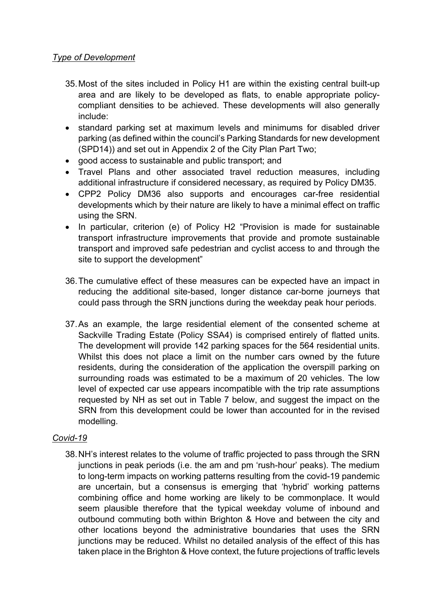### Type of Development

- 35. Most of the sites included in Policy H1 are within the existing central built-up area and are likely to be developed as flats, to enable appropriate policycompliant densities to be achieved. These developments will also generally include:
- standard parking set at maximum levels and minimums for disabled driver parking (as defined within the council's Parking Standards for new development (SPD14)) and set out in Appendix 2 of the City Plan Part Two;
- good access to sustainable and public transport; and
- Travel Plans and other associated travel reduction measures, including additional infrastructure if considered necessary, as required by Policy DM35.
- CPP2 Policy DM36 also supports and encourages car-free residential developments which by their nature are likely to have a minimal effect on traffic using the SRN.
- In particular, criterion (e) of Policy H2 "Provision is made for sustainable transport infrastructure improvements that provide and promote sustainable transport and improved safe pedestrian and cyclist access to and through the site to support the development"
- 36. The cumulative effect of these measures can be expected have an impact in reducing the additional site-based, longer distance car-borne journeys that could pass through the SRN junctions during the weekday peak hour periods.
- 37. As an example, the large residential element of the consented scheme at Sackville Trading Estate (Policy SSA4) is comprised entirely of flatted units. The development will provide 142 parking spaces for the 564 residential units. Whilst this does not place a limit on the number cars owned by the future residents, during the consideration of the application the overspill parking on surrounding roads was estimated to be a maximum of 20 vehicles. The low level of expected car use appears incompatible with the trip rate assumptions requested by NH as set out in Table 7 below, and suggest the impact on the SRN from this development could be lower than accounted for in the revised modelling.

## Covid-19

38. NH's interest relates to the volume of traffic projected to pass through the SRN junctions in peak periods (i.e. the am and pm 'rush-hour' peaks). The medium to long-term impacts on working patterns resulting from the covid-19 pandemic are uncertain, but a consensus is emerging that 'hybrid' working patterns combining office and home working are likely to be commonplace. It would seem plausible therefore that the typical weekday volume of inbound and outbound commuting both within Brighton & Hove and between the city and other locations beyond the administrative boundaries that uses the SRN junctions may be reduced. Whilst no detailed analysis of the effect of this has taken place in the Brighton & Hove context, the future projections of traffic levels